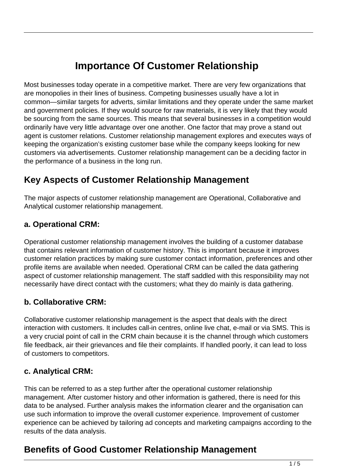# **Importance Of Customer Relationship**

Most businesses today operate in a competitive market. There are very few organizations that are monopolies in their lines of business. Competing businesses usually have a lot in common—similar targets for adverts, similar limitations and they operate under the same market and government policies. If they would source for raw materials, it is very likely that they would be sourcing from the same sources. This means that several businesses in a competition would ordinarily have very little advantage over one another. One factor that may prove a stand out agent is customer relations. Customer relationship management explores and executes ways of keeping the organization's existing customer base while the company keeps looking for new customers via advertisements. Customer relationship management can be a deciding factor in the performance of a business in the long run.

### **Key Aspects of Customer Relationship Management**

The major aspects of customer relationship management are Operational, Collaborative and Analytical customer relationship management.

#### **a. Operational CRM:**

Operational customer relationship management involves the building of a customer database that contains relevant information of customer history. This is important because it improves customer relation practices by making sure customer contact information, preferences and other profile items are available when needed. Operational CRM can be called the data gathering aspect of customer relationship management. The staff saddled with this responsibility may not necessarily have direct contact with the customers; what they do mainly is data gathering.

### **b. Collaborative CRM:**

Collaborative customer relationship management is the aspect that deals with the direct interaction with customers. It includes call-in centres, online live chat, e-mail or via SMS. This is a very crucial point of call in the CRM chain because it is the channel through which customers file feedback, air their grievances and file their complaints. If handled poorly, it can lead to loss of customers to competitors.

#### **c. Analytical CRM:**

This can be referred to as a step further after the operational customer relationship management. After customer history and other information is gathered, there is need for this data to be analysed. Further analysis makes the information clearer and the organisation can use such information to improve the overall customer experience. Improvement of customer experience can be achieved by tailoring ad concepts and marketing campaigns according to the results of the data analysis.

## **Benefits of Good Customer Relationship Management**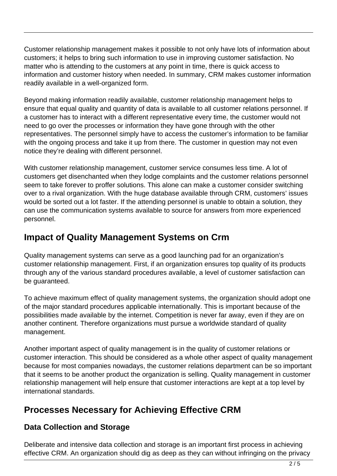Customer relationship management makes it possible to not only have lots of information about customers; it helps to bring such information to use in improving customer satisfaction. No matter who is attending to the customers at any point in time, there is quick access to information and customer history when needed. In summary, CRM makes customer information readily available in a well-organized form.

Beyond making information readily available, customer relationship management helps to ensure that equal quality and quantity of data is available to all customer relations personnel. If a customer has to interact with a different representative every time, the customer would not need to go over the processes or information they have gone through with the other representatives. The personnel simply have to access the customer's information to be familiar with the ongoing process and take it up from there. The customer in question may not even notice they're dealing with different personnel.

With customer relationship management, customer service consumes less time. A lot of customers get disenchanted when they lodge complaints and the customer relations personnel seem to take forever to proffer solutions. This alone can make a customer consider switching over to a rival organization. With the huge database available through CRM, customers' issues would be sorted out a lot faster. If the attending personnel is unable to obtain a solution, they can use the communication systems available to source for answers from more experienced personnel.

## **Impact of Quality Management Systems on Crm**

Quality management systems can serve as a good launching pad for an organization's customer relationship management. First, if an organization ensures top quality of its products through any of the various standard procedures available, a level of customer satisfaction can be guaranteed.

To achieve maximum effect of quality management systems, the organization should adopt one of the major standard procedures applicable internationally. This is important because of the possibilities made available by the internet. Competition is never far away, even if they are on another continent. Therefore organizations must pursue a worldwide standard of quality management.

Another important aspect of quality management is in the quality of customer relations or customer interaction. This should be considered as a whole other aspect of quality management because for most companies nowadays, the customer relations department can be so important that it seems to be another product the organization is selling. Quality management in customer relationship management will help ensure that customer interactions are kept at a top level by international standards.

## **Processes Necessary for Achieving Effective CRM**

### **Data Collection and Storage**

Deliberate and intensive data collection and storage is an important first process in achieving effective CRM. An organization should dig as deep as they can without infringing on the privacy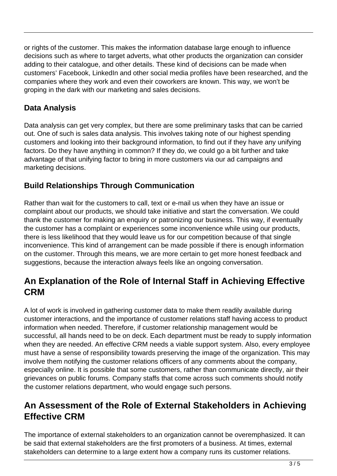or rights of the customer. This makes the information database large enough to influence decisions such as where to target adverts, what other products the organization can consider adding to their catalogue, and other details. These kind of decisions can be made when customers' Facebook, LinkedIn and other social media profiles have been researched, and the companies where they work and even their coworkers are known. This way, we won't be groping in the dark with our marketing and sales decisions.

### **Data Analysis**

Data analysis can get very complex, but there are some preliminary tasks that can be carried out. One of such is sales data analysis. This involves taking note of our highest spending customers and looking into their background information, to find out if they have any unifying factors. Do they have anything in common? If they do, we could go a bit further and take advantage of that unifying factor to bring in more customers via our ad campaigns and marketing decisions.

### **Build Relationships Through Communication**

Rather than wait for the customers to call, text or e-mail us when they have an issue or complaint about our products, we should take initiative and start the conversation. We could thank the customer for making an enquiry or patronizing our business. This way, if eventually the customer has a complaint or experiences some inconvenience while using our products, there is less likelihood that they would leave us for our competition because of that single inconvenience. This kind of arrangement can be made possible if there is enough information on the customer. Through this means, we are more certain to get more honest feedback and suggestions, because the interaction always feels like an ongoing conversation.

## **An Explanation of the Role of Internal Staff in Achieving Effective CRM**

A lot of work is involved in gathering customer data to make them readily available during customer interactions, and the importance of customer relations staff having access to product information when needed. Therefore, if customer relationship management would be successful, all hands need to be on deck. Each department must be ready to supply information when they are needed. An effective CRM needs a viable support system. Also, every employee must have a sense of responsibility towards preserving the image of the organization. This may involve them notifying the customer relations officers of any comments about the company, especially online. It is possible that some customers, rather than communicate directly, air their grievances on public forums. Company staffs that come across such comments should notify the customer relations department, who would engage such persons.

### **An Assessment of the Role of External Stakeholders in Achieving Effective CRM**

The importance of external stakeholders to an organization cannot be overemphasized. It can be said that external stakeholders are the first promoters of a business. At times, external stakeholders can determine to a large extent how a company runs its customer relations.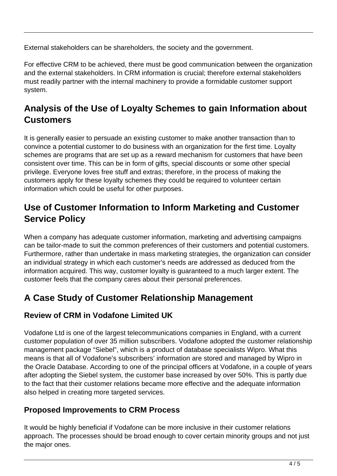External stakeholders can be shareholders, the society and the government.

For effective CRM to be achieved, there must be good communication between the organization and the external stakeholders. In CRM information is crucial; therefore external stakeholders must readily partner with the internal machinery to provide a formidable customer support system.

## **Analysis of the Use of Loyalty Schemes to gain Information about Customers**

It is generally easier to persuade an existing customer to make another transaction than to convince a potential customer to do business with an organization for the first time. Loyalty schemes are programs that are set up as a reward mechanism for customers that have been consistent over time. This can be in form of gifts, special discounts or some other special privilege. Everyone loves free stuff and extras; therefore, in the process of making the customers apply for these loyalty schemes they could be required to volunteer certain information which could be useful for other purposes.

## **Use of Customer Information to Inform Marketing and Customer Service Policy**

When a company has adequate customer information, marketing and advertising campaigns can be tailor-made to suit the common preferences of their customers and potential customers. Furthermore, rather than undertake in mass marketing strategies, the organization can consider an individual strategy in which each customer's needs are addressed as deduced from the information acquired. This way, customer loyalty is guaranteed to a much larger extent. The customer feels that the company cares about their personal preferences.

## **A Case Study of Customer Relationship Management**

### **Review of CRM in Vodafone Limited UK**

Vodafone Ltd is one of the largest telecommunications companies in England, with a current customer population of over 35 million subscribers. Vodafone adopted the customer relationship management package "Siebel", which is a product of database specialists Wipro. What this means is that all of Vodafone's subscribers' information are stored and managed by Wipro in the Oracle Database. According to one of the principal officers at Vodafone, in a couple of years after adopting the Siebel system, the customer base increased by over 50%. This is partly due to the fact that their customer relations became more effective and the adequate information also helped in creating more targeted services.

### **Proposed Improvements to CRM Process**

It would be highly beneficial if Vodafone can be more inclusive in their customer relations approach. The processes should be broad enough to cover certain minority groups and not just the major ones.